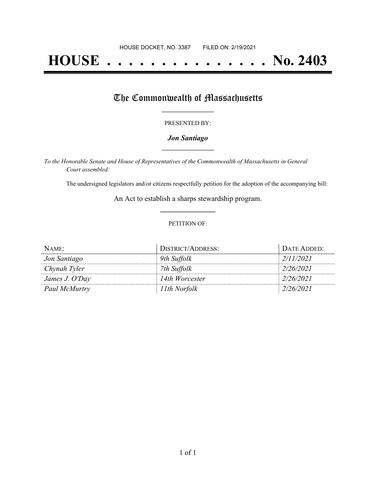# **HOUSE . . . . . . . . . . . . . . . No. 2403**

## The Commonwealth of Massachusetts

#### PRESENTED BY:

#### *Jon Santiago* **\_\_\_\_\_\_\_\_\_\_\_\_\_\_\_\_\_**

*To the Honorable Senate and House of Representatives of the Commonwealth of Massachusetts in General Court assembled:*

The undersigned legislators and/or citizens respectfully petition for the adoption of the accompanying bill:

An Act to establish a sharps stewardship program. **\_\_\_\_\_\_\_\_\_\_\_\_\_\_\_**

#### PETITION OF:

| NAME:          | <b>DISTRICT/ADDRESS:</b> | DATE ADDED: |
|----------------|--------------------------|-------------|
| Jon Santiago   | 9th Suffolk              | 2/11/2021   |
| Chynah Tyler   | 7th Suffolk              | 2/26/2021   |
| James J. O'Day | 14th Worcester           | 2/26/2021   |
| Paul McMurtry  | 11th Norfolk             | 2/26/2021   |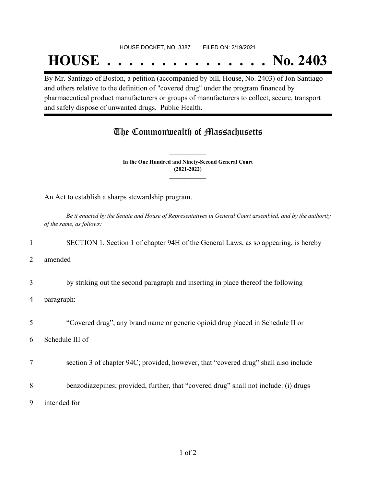## **HOUSE . . . . . . . . . . . . . . . No. 2403**

By Mr. Santiago of Boston, a petition (accompanied by bill, House, No. 2403) of Jon Santiago and others relative to the definition of "covered drug" under the program financed by pharmaceutical product manufacturers or groups of manufacturers to collect, secure, transport and safely dispose of unwanted drugs. Public Health.

### The Commonwealth of Massachusetts

**In the One Hundred and Ninety-Second General Court (2021-2022) \_\_\_\_\_\_\_\_\_\_\_\_\_\_\_**

**\_\_\_\_\_\_\_\_\_\_\_\_\_\_\_**

An Act to establish a sharps stewardship program.

Be it enacted by the Senate and House of Representatives in General Court assembled, and by the authority *of the same, as follows:*

1 SECTION 1. Section 1 of chapter 94H of the General Laws, as so appearing, is hereby

2 amended

3 by striking out the second paragraph and inserting in place thereof the following

4 paragraph:-

5 "Covered drug", any brand name or generic opioid drug placed in Schedule II or

6 Schedule III of

7 section 3 of chapter 94C; provided, however, that "covered drug" shall also include

8 benzodiazepines; provided, further, that "covered drug" shall not include: (i) drugs

9 intended for